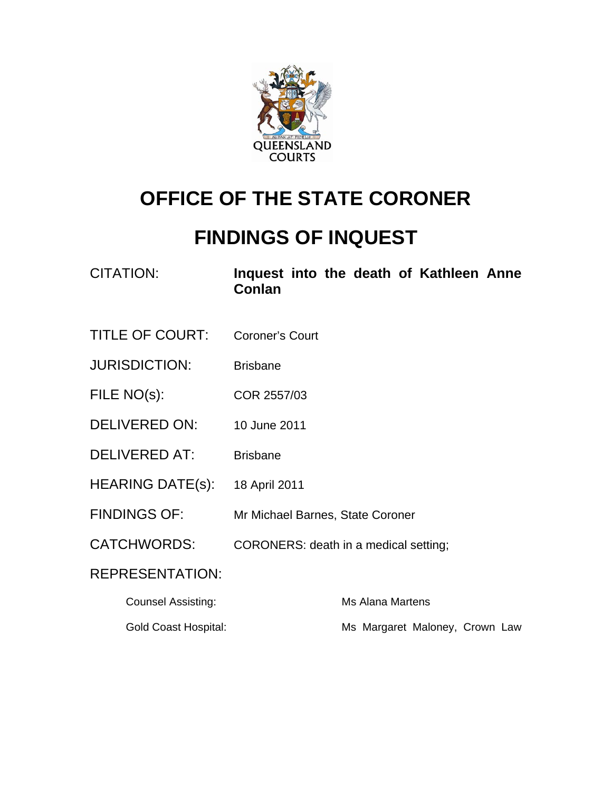

# **OFFICE OF THE STATE CORONER**

# **FINDINGS OF INQUEST**

| <b>CITATION:</b> |        |  |  | Inquest into the death of Kathleen Anne |  |
|------------------|--------|--|--|-----------------------------------------|--|
|                  | Conlan |  |  |                                         |  |

- TITLE OF COURT: Coroner's Court
- JURISDICTION: Brisbane
- FILE NO(s): COR 2557/03
- DELIVERED ON: 10 June 2011
- DELIVERED AT: Brisbane
- HEARING DATE(S): 18 April 2011
- FINDINGS OF: Mr Michael Barnes, State Coroner
- CATCHWORDS: CORONERS: death in a medical setting;

REPRESENTATION:

| Counsel Assisting:   | Ms Alana Martens               |
|----------------------|--------------------------------|
| Gold Coast Hospital: | Ms Margaret Maloney, Crown Law |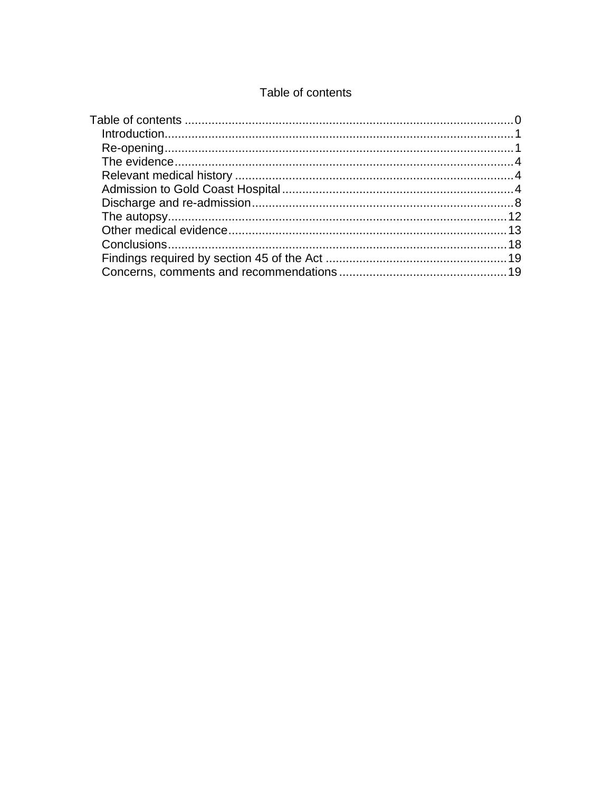#### Table of contents

<span id="page-1-0"></span>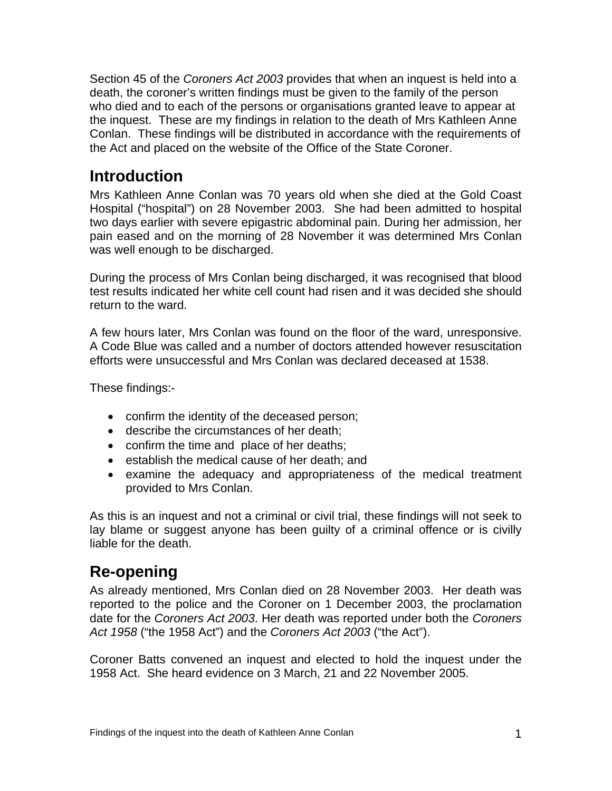<span id="page-2-0"></span>Section 45 of the *Coroners Act 2003* provides that when an inquest is held into a death, the coroner's written findings must be given to the family of the person who died and to each of the persons or organisations granted leave to appear at the inquest. These are my findings in relation to the death of Mrs Kathleen Anne Conlan. These findings will be distributed in accordance with the requirements of the Act and placed on the website of the Office of the State Coroner.

### **Introduction**

Mrs Kathleen Anne Conlan was 70 years old when she died at the Gold Coast Hospital ("hospital") on 28 November 2003. She had been admitted to hospital two days earlier with severe epigastric abdominal pain. During her admission, her pain eased and on the morning of 28 November it was determined Mrs Conlan was well enough to be discharged.

During the process of Mrs Conlan being discharged, it was recognised that blood test results indicated her white cell count had risen and it was decided she should return to the ward.

A few hours later, Mrs Conlan was found on the floor of the ward, unresponsive. A Code Blue was called and a number of doctors attended however resuscitation efforts were unsuccessful and Mrs Conlan was declared deceased at 1538.

These findings:-

- confirm the identity of the deceased person;
- describe the circumstances of her death;
- confirm the time and place of her deaths;
- establish the medical cause of her death; and
- examine the adequacy and appropriateness of the medical treatment provided to Mrs Conlan.

As this is an inquest and not a criminal or civil trial, these findings will not seek to lay blame or suggest anyone has been guilty of a criminal offence or is civilly liable for the death.

## **Re-opening**

As already mentioned, Mrs Conlan died on 28 November 2003. Her death was reported to the police and the Coroner on 1 December 2003, the proclamation date for the *Coroners Act 2003*. Her death was reported under both the *Coroners Act 1958* ("the 1958 Act") and the *Coroners Act 2003* ("the Act").

Coroner Batts convened an inquest and elected to hold the inquest under the 1958 Act. She heard evidence on 3 March, 21 and 22 November 2005.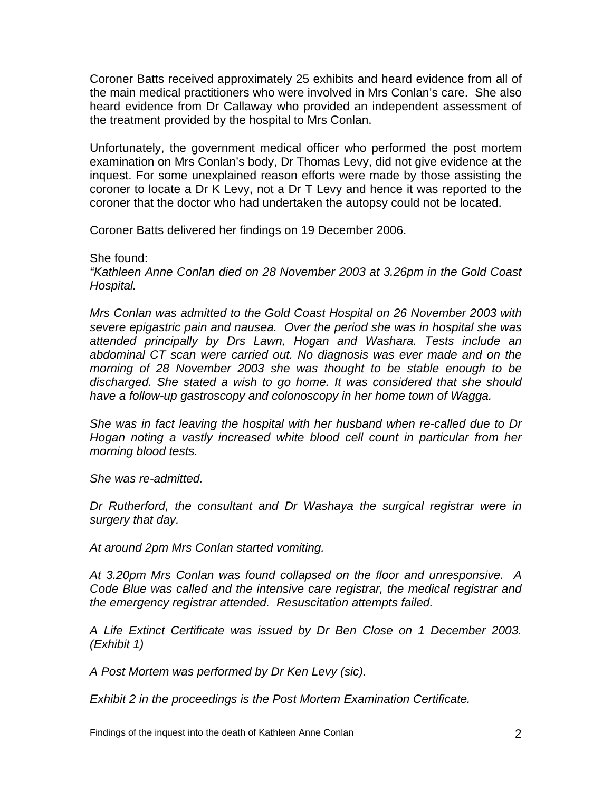Coroner Batts received approximately 25 exhibits and heard evidence from all of the main medical practitioners who were involved in Mrs Conlan's care. She also heard evidence from Dr Callaway who provided an independent assessment of the treatment provided by the hospital to Mrs Conlan.

Unfortunately, the government medical officer who performed the post mortem examination on Mrs Conlan's body, Dr Thomas Levy, did not give evidence at the inquest. For some unexplained reason efforts were made by those assisting the coroner to locate a Dr K Levy, not a Dr T Levy and hence it was reported to the coroner that the doctor who had undertaken the autopsy could not be located.

Coroner Batts delivered her findings on 19 December 2006.

She found:

*"Kathleen Anne Conlan died on 28 November 2003 at 3.26pm in the Gold Coast Hospital.* 

*Mrs Conlan was admitted to the Gold Coast Hospital on 26 November 2003 with severe epigastric pain and nausea. Over the period she was in hospital she was attended principally by Drs Lawn, Hogan and Washara. Tests include an abdominal CT scan were carried out. No diagnosis was ever made and on the morning of 28 November 2003 she was thought to be stable enough to be discharged. She stated a wish to go home. It was considered that she should have a follow-up gastroscopy and colonoscopy in her home town of Wagga.* 

*She was in fact leaving the hospital with her husband when re-called due to Dr Hogan noting a vastly increased white blood cell count in particular from her morning blood tests.* 

*She was re-admitted.* 

*Dr Rutherford, the consultant and Dr Washaya the surgical registrar were in surgery that day.* 

*At around 2pm Mrs Conlan started vomiting.* 

*At 3.20pm Mrs Conlan was found collapsed on the floor and unresponsive. A Code Blue was called and the intensive care registrar, the medical registrar and the emergency registrar attended. Resuscitation attempts failed.* 

*A Life Extinct Certificate was issued by Dr Ben Close on 1 December 2003. (Exhibit 1)* 

*A Post Mortem was performed by Dr Ken Levy (sic).* 

*Exhibit 2 in the proceedings is the Post Mortem Examination Certificate.*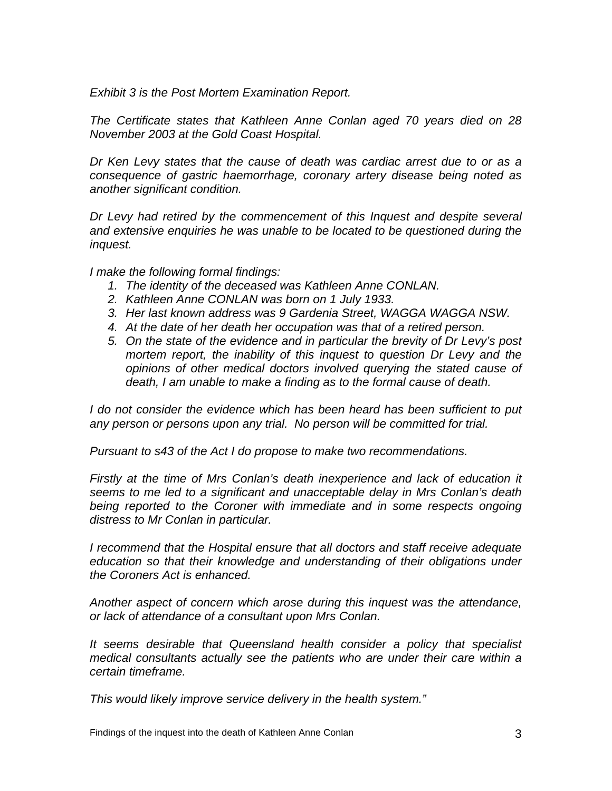*Exhibit 3 is the Post Mortem Examination Report.* 

*The Certificate states that Kathleen Anne Conlan aged 70 years died on 28 November 2003 at the Gold Coast Hospital.* 

*Dr Ken Levy states that the cause of death was cardiac arrest due to or as a consequence of gastric haemorrhage, coronary artery disease being noted as another significant condition.* 

*Dr Levy had retired by the commencement of this Inquest and despite several and extensive enquiries he was unable to be located to be questioned during the inquest.* 

*I make the following formal findings:* 

- *1. The identity of the deceased was Kathleen Anne CONLAN.*
- *2. Kathleen Anne CONLAN was born on 1 July 1933.*
- *3. Her last known address was 9 Gardenia Street, WAGGA WAGGA NSW.*
- *4. At the date of her death her occupation was that of a retired person.*
- *5. On the state of the evidence and in particular the brevity of Dr Levy's post mortem report, the inability of this inquest to question Dr Levy and the opinions of other medical doctors involved querying the stated cause of death, I am unable to make a finding as to the formal cause of death.*

*I* do not consider the evidence which has been heard has been sufficient to put *any person or persons upon any trial. No person will be committed for trial.* 

*Pursuant to s43 of the Act I do propose to make two recommendations.* 

*Firstly at the time of Mrs Conlan's death inexperience and lack of education it seems to me led to a significant and unacceptable delay in Mrs Conlan's death*  being reported to the Coroner with immediate and in some respects ongoing *distress to Mr Conlan in particular.* 

*I recommend that the Hospital ensure that all doctors and staff receive adequate education so that their knowledge and understanding of their obligations under the Coroners Act is enhanced.* 

*Another aspect of concern which arose during this inquest was the attendance, or lack of attendance of a consultant upon Mrs Conlan.* 

*It seems desirable that Queensland health consider a policy that specialist medical consultants actually see the patients who are under their care within a certain timeframe.* 

*This would likely improve service delivery in the health system."*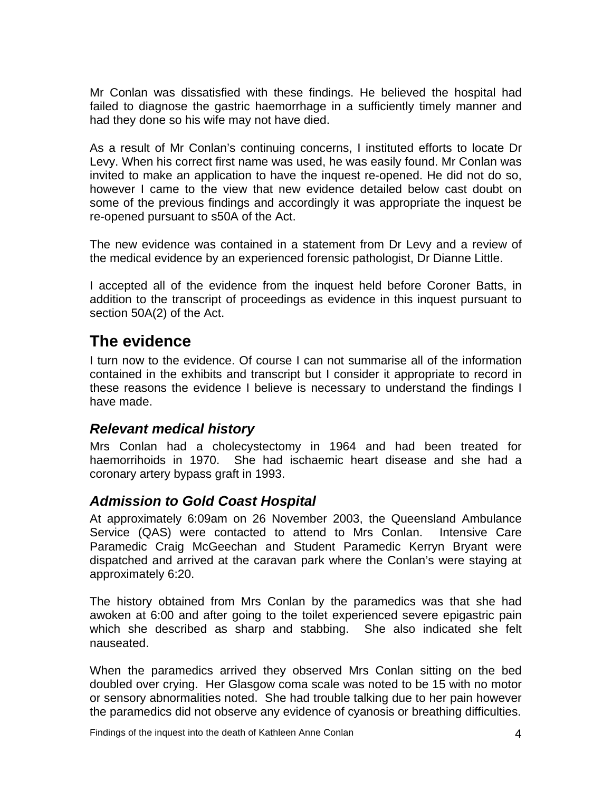<span id="page-5-0"></span>Mr Conlan was dissatisfied with these findings. He believed the hospital had failed to diagnose the gastric haemorrhage in a sufficiently timely manner and had they done so his wife may not have died.

As a result of Mr Conlan's continuing concerns, I instituted efforts to locate Dr Levy. When his correct first name was used, he was easily found. Mr Conlan was invited to make an application to have the inquest re-opened. He did not do so, however I came to the view that new evidence detailed below cast doubt on some of the previous findings and accordingly it was appropriate the inquest be re-opened pursuant to s50A of the Act.

The new evidence was contained in a statement from Dr Levy and a review of the medical evidence by an experienced forensic pathologist, Dr Dianne Little.

I accepted all of the evidence from the inquest held before Coroner Batts, in addition to the transcript of proceedings as evidence in this inquest pursuant to section 50A(2) of the Act.

## **The evidence**

I turn now to the evidence. Of course I can not summarise all of the information contained in the exhibits and transcript but I consider it appropriate to record in these reasons the evidence I believe is necessary to understand the findings I have made.

#### *Relevant medical history*

Mrs Conlan had a cholecystectomy in 1964 and had been treated for haemorrihoids in 1970. She had ischaemic heart disease and she had a coronary artery bypass graft in 1993.

#### *Admission to Gold Coast Hospital*

At approximately 6:09am on 26 November 2003, the Queensland Ambulance Service (QAS) were contacted to attend to Mrs Conlan. Intensive Care Paramedic Craig McGeechan and Student Paramedic Kerryn Bryant were dispatched and arrived at the caravan park where the Conlan's were staying at approximately 6:20.

The history obtained from Mrs Conlan by the paramedics was that she had awoken at 6:00 and after going to the toilet experienced severe epigastric pain which she described as sharp and stabbing. She also indicated she felt nauseated.

When the paramedics arrived they observed Mrs Conlan sitting on the bed doubled over crying. Her Glasgow coma scale was noted to be 15 with no motor or sensory abnormalities noted. She had trouble talking due to her pain however the paramedics did not observe any evidence of cyanosis or breathing difficulties.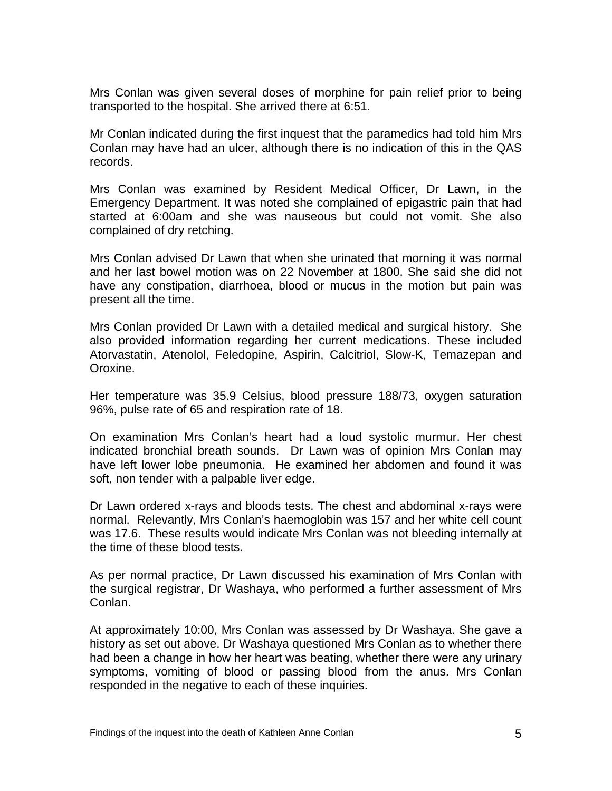Mrs Conlan was given several doses of morphine for pain relief prior to being transported to the hospital. She arrived there at 6:51.

Mr Conlan indicated during the first inquest that the paramedics had told him Mrs Conlan may have had an ulcer, although there is no indication of this in the QAS records.

Mrs Conlan was examined by Resident Medical Officer, Dr Lawn, in the Emergency Department. It was noted she complained of epigastric pain that had started at 6:00am and she was nauseous but could not vomit. She also complained of dry retching.

Mrs Conlan advised Dr Lawn that when she urinated that morning it was normal and her last bowel motion was on 22 November at 1800. She said she did not have any constipation, diarrhoea, blood or mucus in the motion but pain was present all the time.

Mrs Conlan provided Dr Lawn with a detailed medical and surgical history. She also provided information regarding her current medications. These included Atorvastatin, Atenolol, Feledopine, Aspirin, Calcitriol, Slow-K, Temazepan and Oroxine.

Her temperature was 35.9 Celsius, blood pressure 188/73, oxygen saturation 96%, pulse rate of 65 and respiration rate of 18.

On examination Mrs Conlan's heart had a loud systolic murmur. Her chest indicated bronchial breath sounds. Dr Lawn was of opinion Mrs Conlan may have left lower lobe pneumonia. He examined her abdomen and found it was soft, non tender with a palpable liver edge.

Dr Lawn ordered x-rays and bloods tests. The chest and abdominal x-rays were normal. Relevantly, Mrs Conlan's haemoglobin was 157 and her white cell count was 17.6. These results would indicate Mrs Conlan was not bleeding internally at the time of these blood tests.

As per normal practice, Dr Lawn discussed his examination of Mrs Conlan with the surgical registrar, Dr Washaya, who performed a further assessment of Mrs Conlan.

At approximately 10:00, Mrs Conlan was assessed by Dr Washaya. She gave a history as set out above. Dr Washaya questioned Mrs Conlan as to whether there had been a change in how her heart was beating, whether there were any urinary symptoms, vomiting of blood or passing blood from the anus. Mrs Conlan responded in the negative to each of these inquiries.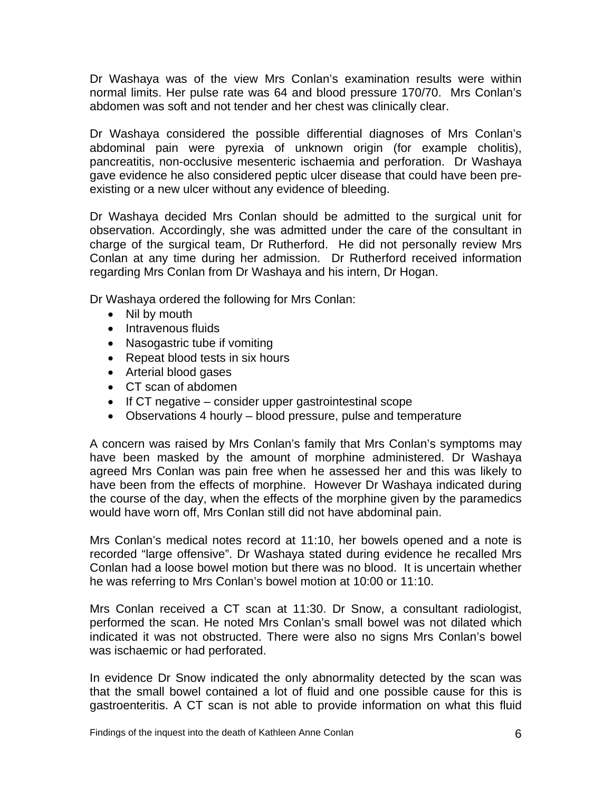Dr Washaya was of the view Mrs Conlan's examination results were within normal limits. Her pulse rate was 64 and blood pressure 170/70. Mrs Conlan's abdomen was soft and not tender and her chest was clinically clear.

Dr Washaya considered the possible differential diagnoses of Mrs Conlan's abdominal pain were pyrexia of unknown origin (for example cholitis), pancreatitis, non-occlusive mesenteric ischaemia and perforation. Dr Washaya gave evidence he also considered peptic ulcer disease that could have been preexisting or a new ulcer without any evidence of bleeding.

Dr Washaya decided Mrs Conlan should be admitted to the surgical unit for observation. Accordingly, she was admitted under the care of the consultant in charge of the surgical team, Dr Rutherford. He did not personally review Mrs Conlan at any time during her admission. Dr Rutherford received information regarding Mrs Conlan from Dr Washaya and his intern, Dr Hogan.

Dr Washaya ordered the following for Mrs Conlan:

- Nil by mouth
- Intravenous fluids
- Nasogastric tube if vomiting
- Repeat blood tests in six hours
- Arterial blood gases
- CT scan of abdomen
- If CT negative consider upper gastrointestinal scope
- Observations 4 hourly blood pressure, pulse and temperature

A concern was raised by Mrs Conlan's family that Mrs Conlan's symptoms may have been masked by the amount of morphine administered. Dr Washaya agreed Mrs Conlan was pain free when he assessed her and this was likely to have been from the effects of morphine. However Dr Washaya indicated during the course of the day, when the effects of the morphine given by the paramedics would have worn off, Mrs Conlan still did not have abdominal pain.

Mrs Conlan's medical notes record at 11:10, her bowels opened and a note is recorded "large offensive". Dr Washaya stated during evidence he recalled Mrs Conlan had a loose bowel motion but there was no blood. It is uncertain whether he was referring to Mrs Conlan's bowel motion at 10:00 or 11:10.

Mrs Conlan received a CT scan at 11:30. Dr Snow, a consultant radiologist, performed the scan. He noted Mrs Conlan's small bowel was not dilated which indicated it was not obstructed. There were also no signs Mrs Conlan's bowel was ischaemic or had perforated.

In evidence Dr Snow indicated the only abnormality detected by the scan was that the small bowel contained a lot of fluid and one possible cause for this is gastroenteritis. A CT scan is not able to provide information on what this fluid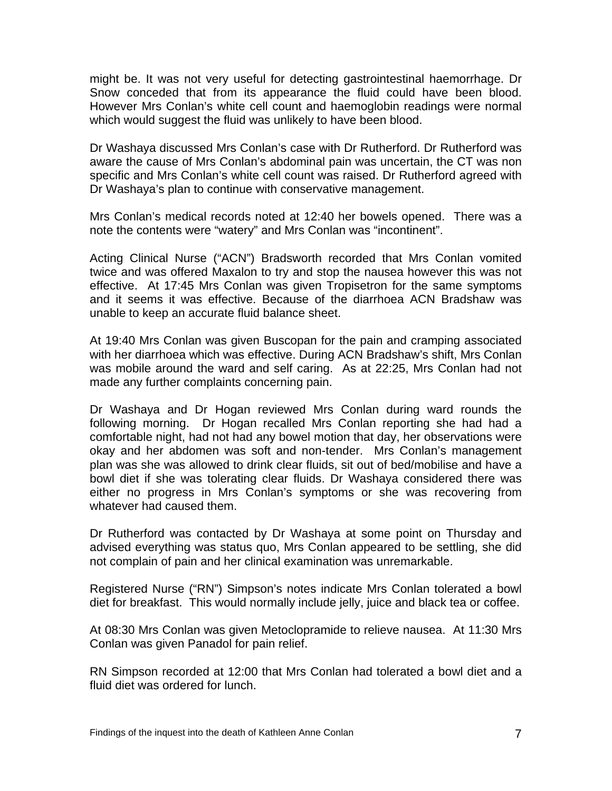might be. It was not very useful for detecting gastrointestinal haemorrhage. Dr Snow conceded that from its appearance the fluid could have been blood. However Mrs Conlan's white cell count and haemoglobin readings were normal which would suggest the fluid was unlikely to have been blood.

Dr Washaya discussed Mrs Conlan's case with Dr Rutherford. Dr Rutherford was aware the cause of Mrs Conlan's abdominal pain was uncertain, the CT was non specific and Mrs Conlan's white cell count was raised. Dr Rutherford agreed with Dr Washaya's plan to continue with conservative management.

Mrs Conlan's medical records noted at 12:40 her bowels opened. There was a note the contents were "watery" and Mrs Conlan was "incontinent".

Acting Clinical Nurse ("ACN") Bradsworth recorded that Mrs Conlan vomited twice and was offered Maxalon to try and stop the nausea however this was not effective. At 17:45 Mrs Conlan was given Tropisetron for the same symptoms and it seems it was effective. Because of the diarrhoea ACN Bradshaw was unable to keep an accurate fluid balance sheet.

At 19:40 Mrs Conlan was given Buscopan for the pain and cramping associated with her diarrhoea which was effective. During ACN Bradshaw's shift, Mrs Conlan was mobile around the ward and self caring. As at 22:25, Mrs Conlan had not made any further complaints concerning pain.

Dr Washaya and Dr Hogan reviewed Mrs Conlan during ward rounds the following morning. Dr Hogan recalled Mrs Conlan reporting she had had a comfortable night, had not had any bowel motion that day, her observations were okay and her abdomen was soft and non-tender. Mrs Conlan's management plan was she was allowed to drink clear fluids, sit out of bed/mobilise and have a bowl diet if she was tolerating clear fluids. Dr Washaya considered there was either no progress in Mrs Conlan's symptoms or she was recovering from whatever had caused them.

Dr Rutherford was contacted by Dr Washaya at some point on Thursday and advised everything was status quo, Mrs Conlan appeared to be settling, she did not complain of pain and her clinical examination was unremarkable.

Registered Nurse ("RN") Simpson's notes indicate Mrs Conlan tolerated a bowl diet for breakfast. This would normally include jelly, juice and black tea or coffee.

At 08:30 Mrs Conlan was given Metoclopramide to relieve nausea. At 11:30 Mrs Conlan was given Panadol for pain relief.

RN Simpson recorded at 12:00 that Mrs Conlan had tolerated a bowl diet and a fluid diet was ordered for lunch.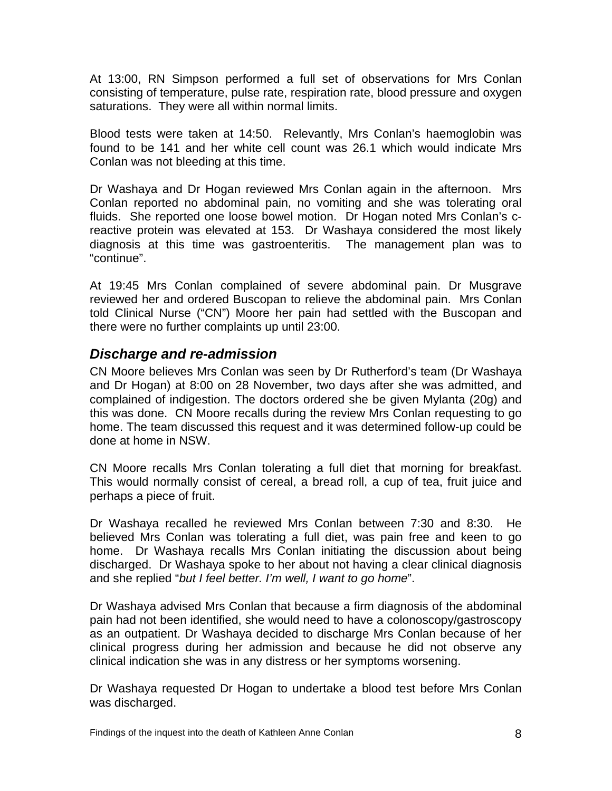<span id="page-9-0"></span>At 13:00, RN Simpson performed a full set of observations for Mrs Conlan consisting of temperature, pulse rate, respiration rate, blood pressure and oxygen saturations. They were all within normal limits.

Blood tests were taken at 14:50. Relevantly, Mrs Conlan's haemoglobin was found to be 141 and her white cell count was 26.1 which would indicate Mrs Conlan was not bleeding at this time.

Dr Washaya and Dr Hogan reviewed Mrs Conlan again in the afternoon. Mrs Conlan reported no abdominal pain, no vomiting and she was tolerating oral fluids. She reported one loose bowel motion. Dr Hogan noted Mrs Conlan's creactive protein was elevated at 153. Dr Washaya considered the most likely diagnosis at this time was gastroenteritis. The management plan was to "continue".

At 19:45 Mrs Conlan complained of severe abdominal pain. Dr Musgrave reviewed her and ordered Buscopan to relieve the abdominal pain. Mrs Conlan told Clinical Nurse ("CN") Moore her pain had settled with the Buscopan and there were no further complaints up until 23:00.

#### *Discharge and re-admission*

CN Moore believes Mrs Conlan was seen by Dr Rutherford's team (Dr Washaya and Dr Hogan) at 8:00 on 28 November, two days after she was admitted, and complained of indigestion. The doctors ordered she be given Mylanta (20g) and this was done. CN Moore recalls during the review Mrs Conlan requesting to go home. The team discussed this request and it was determined follow-up could be done at home in NSW.

CN Moore recalls Mrs Conlan tolerating a full diet that morning for breakfast. This would normally consist of cereal, a bread roll, a cup of tea, fruit juice and perhaps a piece of fruit.

Dr Washaya recalled he reviewed Mrs Conlan between 7:30 and 8:30. He believed Mrs Conlan was tolerating a full diet, was pain free and keen to go home. Dr Washaya recalls Mrs Conlan initiating the discussion about being discharged. Dr Washaya spoke to her about not having a clear clinical diagnosis and she replied "*but I feel better. I'm well, I want to go home*".

Dr Washaya advised Mrs Conlan that because a firm diagnosis of the abdominal pain had not been identified, she would need to have a colonoscopy/gastroscopy as an outpatient. Dr Washaya decided to discharge Mrs Conlan because of her clinical progress during her admission and because he did not observe any clinical indication she was in any distress or her symptoms worsening.

Dr Washaya requested Dr Hogan to undertake a blood test before Mrs Conlan was discharged.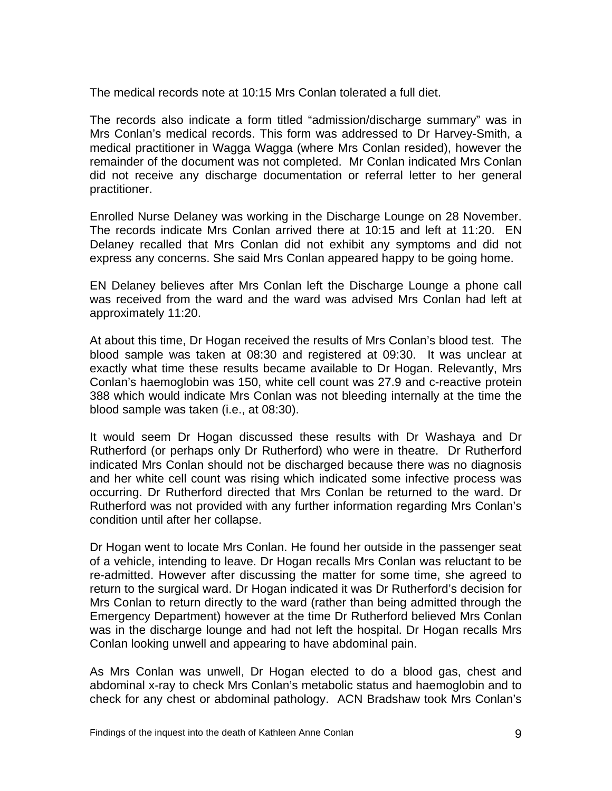The medical records note at 10:15 Mrs Conlan tolerated a full diet.

The records also indicate a form titled "admission/discharge summary" was in Mrs Conlan's medical records. This form was addressed to Dr Harvey-Smith, a medical practitioner in Wagga Wagga (where Mrs Conlan resided), however the remainder of the document was not completed. Mr Conlan indicated Mrs Conlan did not receive any discharge documentation or referral letter to her general practitioner.

Enrolled Nurse Delaney was working in the Discharge Lounge on 28 November. The records indicate Mrs Conlan arrived there at 10:15 and left at 11:20. EN Delaney recalled that Mrs Conlan did not exhibit any symptoms and did not express any concerns. She said Mrs Conlan appeared happy to be going home.

EN Delaney believes after Mrs Conlan left the Discharge Lounge a phone call was received from the ward and the ward was advised Mrs Conlan had left at approximately 11:20.

At about this time, Dr Hogan received the results of Mrs Conlan's blood test. The blood sample was taken at 08:30 and registered at 09:30. It was unclear at exactly what time these results became available to Dr Hogan. Relevantly, Mrs Conlan's haemoglobin was 150, white cell count was 27.9 and c-reactive protein 388 which would indicate Mrs Conlan was not bleeding internally at the time the blood sample was taken (i.e., at 08:30).

It would seem Dr Hogan discussed these results with Dr Washaya and Dr Rutherford (or perhaps only Dr Rutherford) who were in theatre. Dr Rutherford indicated Mrs Conlan should not be discharged because there was no diagnosis and her white cell count was rising which indicated some infective process was occurring. Dr Rutherford directed that Mrs Conlan be returned to the ward. Dr Rutherford was not provided with any further information regarding Mrs Conlan's condition until after her collapse.

Dr Hogan went to locate Mrs Conlan. He found her outside in the passenger seat of a vehicle, intending to leave. Dr Hogan recalls Mrs Conlan was reluctant to be re-admitted. However after discussing the matter for some time, she agreed to return to the surgical ward. Dr Hogan indicated it was Dr Rutherford's decision for Mrs Conlan to return directly to the ward (rather than being admitted through the Emergency Department) however at the time Dr Rutherford believed Mrs Conlan was in the discharge lounge and had not left the hospital. Dr Hogan recalls Mrs Conlan looking unwell and appearing to have abdominal pain.

As Mrs Conlan was unwell, Dr Hogan elected to do a blood gas, chest and abdominal x-ray to check Mrs Conlan's metabolic status and haemoglobin and to check for any chest or abdominal pathology. ACN Bradshaw took Mrs Conlan's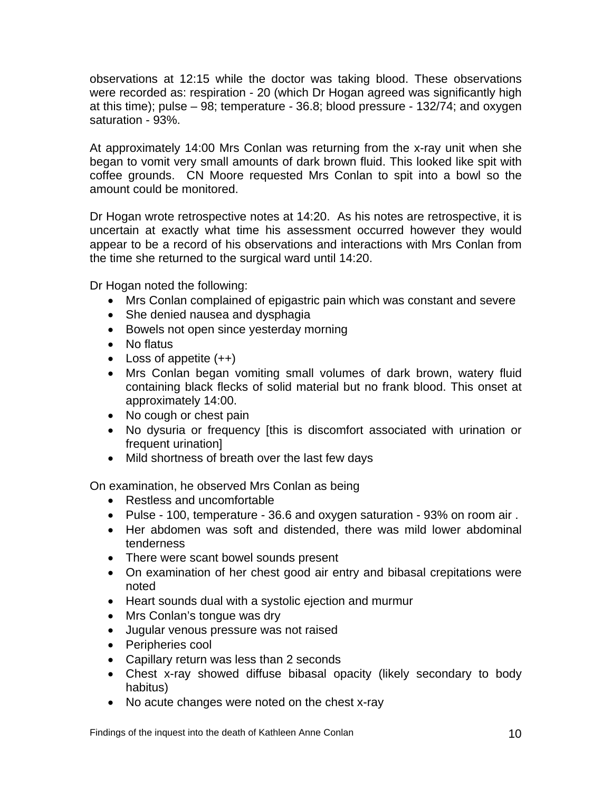observations at 12:15 while the doctor was taking blood. These observations were recorded as: respiration - 20 (which Dr Hogan agreed was significantly high at this time); pulse – 98; temperature - 36.8; blood pressure - 132/74; and oxygen saturation - 93%.

At approximately 14:00 Mrs Conlan was returning from the x-ray unit when she began to vomit very small amounts of dark brown fluid. This looked like spit with coffee grounds. CN Moore requested Mrs Conlan to spit into a bowl so the amount could be monitored.

Dr Hogan wrote retrospective notes at 14:20. As his notes are retrospective, it is uncertain at exactly what time his assessment occurred however they would appear to be a record of his observations and interactions with Mrs Conlan from the time she returned to the surgical ward until 14:20.

Dr Hogan noted the following:

- Mrs Conlan complained of epigastric pain which was constant and severe
- She denied nausea and dysphagia
- Bowels not open since yesterday morning
- No flatus
- Loss of appetite (++)
- Mrs Conlan began vomiting small volumes of dark brown, watery fluid containing black flecks of solid material but no frank blood. This onset at approximately 14:00.
- No cough or chest pain
- No dysuria or frequency [this is discomfort associated with urination or frequent urination]
- Mild shortness of breath over the last few days

On examination, he observed Mrs Conlan as being

- Restless and uncomfortable
- Pulse 100, temperature 36.6 and oxygen saturation 93% on room air .
- Her abdomen was soft and distended, there was mild lower abdominal tenderness
- There were scant bowel sounds present
- On examination of her chest good air entry and bibasal crepitations were noted
- Heart sounds dual with a systolic ejection and murmur
- Mrs Conlan's tongue was dry
- Jugular venous pressure was not raised
- Peripheries cool
- Capillary return was less than 2 seconds
- Chest x-ray showed diffuse bibasal opacity (likely secondary to body habitus)
- No acute changes were noted on the chest x-ray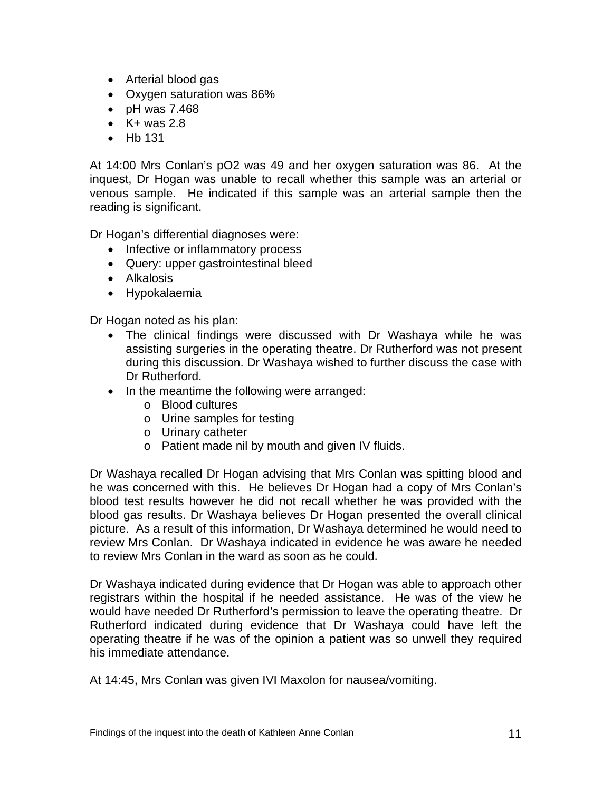- Arterial blood gas
- Oxygen saturation was 86%
- pH was 7.468
- $\bullet$  K + was 2.8
- Hb 131

At 14:00 Mrs Conlan's pO2 was 49 and her oxygen saturation was 86. At the inquest, Dr Hogan was unable to recall whether this sample was an arterial or venous sample. He indicated if this sample was an arterial sample then the reading is significant.

Dr Hogan's differential diagnoses were:

- Infective or inflammatory process
- Query: upper gastrointestinal bleed
- Alkalosis
- Hypokalaemia

Dr Hogan noted as his plan:

- The clinical findings were discussed with Dr Washaya while he was assisting surgeries in the operating theatre. Dr Rutherford was not present during this discussion. Dr Washaya wished to further discuss the case with Dr Rutherford.
- In the meantime the following were arranged:
	- o Blood cultures
	- o Urine samples for testing
	- o Urinary catheter
	- o Patient made nil by mouth and given IV fluids.

Dr Washaya recalled Dr Hogan advising that Mrs Conlan was spitting blood and he was concerned with this. He believes Dr Hogan had a copy of Mrs Conlan's blood test results however he did not recall whether he was provided with the blood gas results. Dr Washaya believes Dr Hogan presented the overall clinical picture. As a result of this information, Dr Washaya determined he would need to review Mrs Conlan. Dr Washaya indicated in evidence he was aware he needed to review Mrs Conlan in the ward as soon as he could.

Dr Washaya indicated during evidence that Dr Hogan was able to approach other registrars within the hospital if he needed assistance. He was of the view he would have needed Dr Rutherford's permission to leave the operating theatre. Dr Rutherford indicated during evidence that Dr Washaya could have left the operating theatre if he was of the opinion a patient was so unwell they required his immediate attendance.

At 14:45, Mrs Conlan was given IVI Maxolon for nausea/vomiting.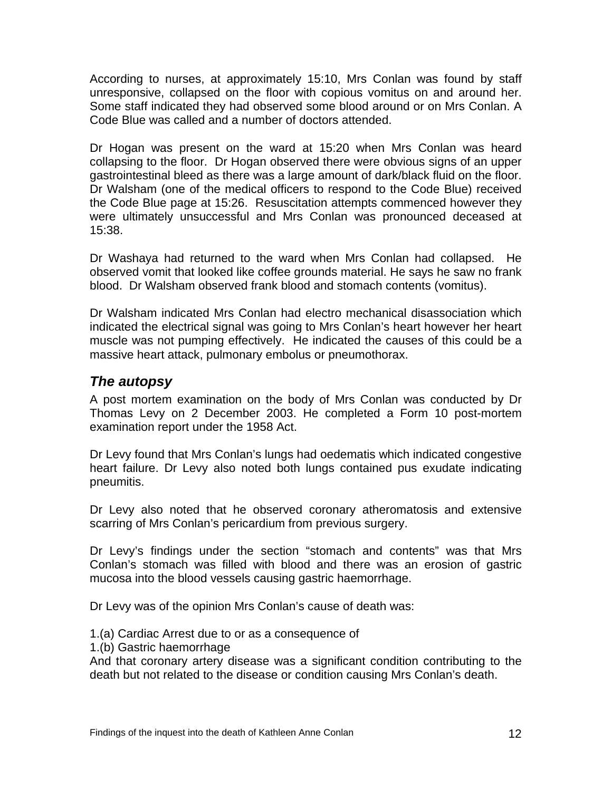<span id="page-13-0"></span>According to nurses, at approximately 15:10, Mrs Conlan was found by staff unresponsive, collapsed on the floor with copious vomitus on and around her. Some staff indicated they had observed some blood around or on Mrs Conlan. A Code Blue was called and a number of doctors attended.

Dr Hogan was present on the ward at 15:20 when Mrs Conlan was heard collapsing to the floor. Dr Hogan observed there were obvious signs of an upper gastrointestinal bleed as there was a large amount of dark/black fluid on the floor. Dr Walsham (one of the medical officers to respond to the Code Blue) received the Code Blue page at 15:26. Resuscitation attempts commenced however they were ultimately unsuccessful and Mrs Conlan was pronounced deceased at 15:38.

Dr Washaya had returned to the ward when Mrs Conlan had collapsed. He observed vomit that looked like coffee grounds material. He says he saw no frank blood. Dr Walsham observed frank blood and stomach contents (vomitus).

Dr Walsham indicated Mrs Conlan had electro mechanical disassociation which indicated the electrical signal was going to Mrs Conlan's heart however her heart muscle was not pumping effectively. He indicated the causes of this could be a massive heart attack, pulmonary embolus or pneumothorax.

#### *The autopsy*

A post mortem examination on the body of Mrs Conlan was conducted by Dr Thomas Levy on 2 December 2003. He completed a Form 10 post-mortem examination report under the 1958 Act.

Dr Levy found that Mrs Conlan's lungs had oedematis which indicated congestive heart failure. Dr Levy also noted both lungs contained pus exudate indicating pneumitis.

Dr Levy also noted that he observed coronary atheromatosis and extensive scarring of Mrs Conlan's pericardium from previous surgery.

Dr Levy's findings under the section "stomach and contents" was that Mrs Conlan's stomach was filled with blood and there was an erosion of gastric mucosa into the blood vessels causing gastric haemorrhage.

Dr Levy was of the opinion Mrs Conlan's cause of death was:

1.(a) Cardiac Arrest due to or as a consequence of

1.(b) Gastric haemorrhage

And that coronary artery disease was a significant condition contributing to the death but not related to the disease or condition causing Mrs Conlan's death.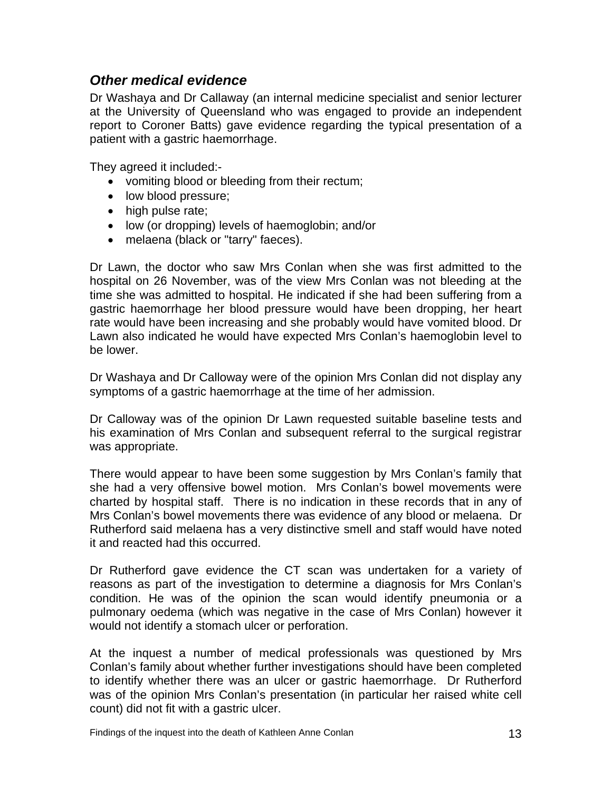#### <span id="page-14-0"></span>*Other medical evidence*

Dr Washaya and Dr Callaway (an internal medicine specialist and senior lecturer at the University of Queensland who was engaged to provide an independent report to Coroner Batts) gave evidence regarding the typical presentation of a patient with a gastric haemorrhage.

They agreed it included:-

- vomiting blood or bleeding from their rectum;
- low blood pressure;
- high pulse rate;
- low (or dropping) levels of haemoglobin; and/or
- melaena (black or "tarry" faeces).

Dr Lawn, the doctor who saw Mrs Conlan when she was first admitted to the hospital on 26 November, was of the view Mrs Conlan was not bleeding at the time she was admitted to hospital. He indicated if she had been suffering from a gastric haemorrhage her blood pressure would have been dropping, her heart rate would have been increasing and she probably would have vomited blood. Dr Lawn also indicated he would have expected Mrs Conlan's haemoglobin level to be lower.

Dr Washaya and Dr Calloway were of the opinion Mrs Conlan did not display any symptoms of a gastric haemorrhage at the time of her admission.

Dr Calloway was of the opinion Dr Lawn requested suitable baseline tests and his examination of Mrs Conlan and subsequent referral to the surgical registrar was appropriate.

There would appear to have been some suggestion by Mrs Conlan's family that she had a very offensive bowel motion. Mrs Conlan's bowel movements were charted by hospital staff. There is no indication in these records that in any of Mrs Conlan's bowel movements there was evidence of any blood or melaena. Dr Rutherford said melaena has a very distinctive smell and staff would have noted it and reacted had this occurred.

Dr Rutherford gave evidence the CT scan was undertaken for a variety of reasons as part of the investigation to determine a diagnosis for Mrs Conlan's condition. He was of the opinion the scan would identify pneumonia or a pulmonary oedema (which was negative in the case of Mrs Conlan) however it would not identify a stomach ulcer or perforation.

At the inquest a number of medical professionals was questioned by Mrs Conlan's family about whether further investigations should have been completed to identify whether there was an ulcer or gastric haemorrhage. Dr Rutherford was of the opinion Mrs Conlan's presentation (in particular her raised white cell count) did not fit with a gastric ulcer.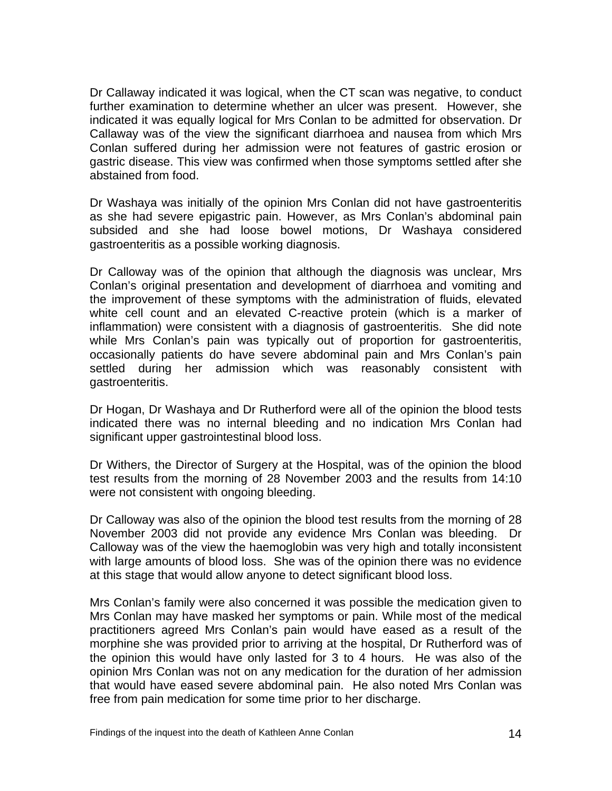Dr Callaway indicated it was logical, when the CT scan was negative, to conduct further examination to determine whether an ulcer was present. However, she indicated it was equally logical for Mrs Conlan to be admitted for observation. Dr Callaway was of the view the significant diarrhoea and nausea from which Mrs Conlan suffered during her admission were not features of gastric erosion or gastric disease. This view was confirmed when those symptoms settled after she abstained from food.

Dr Washaya was initially of the opinion Mrs Conlan did not have gastroenteritis as she had severe epigastric pain. However, as Mrs Conlan's abdominal pain subsided and she had loose bowel motions, Dr Washaya considered gastroenteritis as a possible working diagnosis.

Dr Calloway was of the opinion that although the diagnosis was unclear, Mrs Conlan's original presentation and development of diarrhoea and vomiting and the improvement of these symptoms with the administration of fluids, elevated white cell count and an elevated C-reactive protein (which is a marker of inflammation) were consistent with a diagnosis of gastroenteritis. She did note while Mrs Conlan's pain was typically out of proportion for gastroenteritis, occasionally patients do have severe abdominal pain and Mrs Conlan's pain settled during her admission which was reasonably consistent with gastroenteritis.

Dr Hogan, Dr Washaya and Dr Rutherford were all of the opinion the blood tests indicated there was no internal bleeding and no indication Mrs Conlan had significant upper gastrointestinal blood loss.

Dr Withers, the Director of Surgery at the Hospital, was of the opinion the blood test results from the morning of 28 November 2003 and the results from 14:10 were not consistent with ongoing bleeding.

Dr Calloway was also of the opinion the blood test results from the morning of 28 November 2003 did not provide any evidence Mrs Conlan was bleeding. Dr Calloway was of the view the haemoglobin was very high and totally inconsistent with large amounts of blood loss. She was of the opinion there was no evidence at this stage that would allow anyone to detect significant blood loss.

Mrs Conlan's family were also concerned it was possible the medication given to Mrs Conlan may have masked her symptoms or pain. While most of the medical practitioners agreed Mrs Conlan's pain would have eased as a result of the morphine she was provided prior to arriving at the hospital, Dr Rutherford was of the opinion this would have only lasted for 3 to 4 hours. He was also of the opinion Mrs Conlan was not on any medication for the duration of her admission that would have eased severe abdominal pain. He also noted Mrs Conlan was free from pain medication for some time prior to her discharge.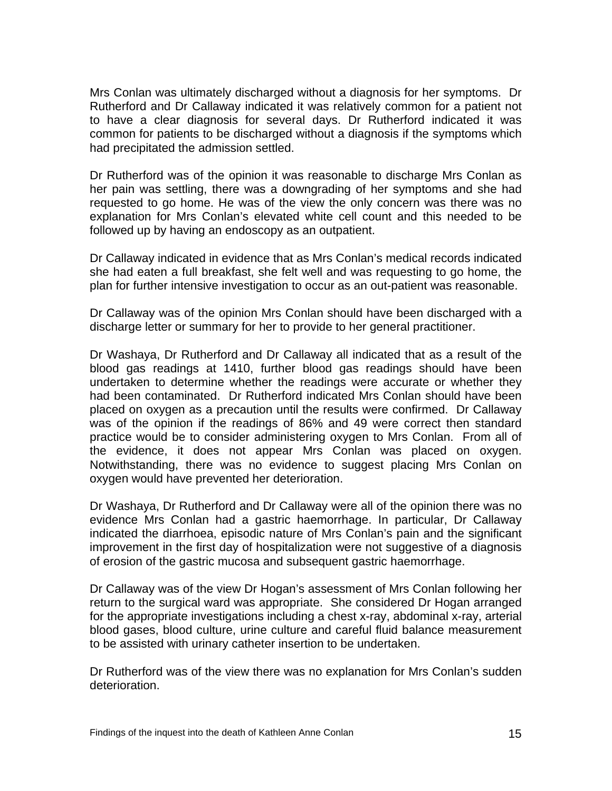Mrs Conlan was ultimately discharged without a diagnosis for her symptoms. Dr Rutherford and Dr Callaway indicated it was relatively common for a patient not to have a clear diagnosis for several days. Dr Rutherford indicated it was common for patients to be discharged without a diagnosis if the symptoms which had precipitated the admission settled.

Dr Rutherford was of the opinion it was reasonable to discharge Mrs Conlan as her pain was settling, there was a downgrading of her symptoms and she had requested to go home. He was of the view the only concern was there was no explanation for Mrs Conlan's elevated white cell count and this needed to be followed up by having an endoscopy as an outpatient.

Dr Callaway indicated in evidence that as Mrs Conlan's medical records indicated she had eaten a full breakfast, she felt well and was requesting to go home, the plan for further intensive investigation to occur as an out-patient was reasonable.

Dr Callaway was of the opinion Mrs Conlan should have been discharged with a discharge letter or summary for her to provide to her general practitioner.

Dr Washaya, Dr Rutherford and Dr Callaway all indicated that as a result of the blood gas readings at 1410, further blood gas readings should have been undertaken to determine whether the readings were accurate or whether they had been contaminated. Dr Rutherford indicated Mrs Conlan should have been placed on oxygen as a precaution until the results were confirmed. Dr Callaway was of the opinion if the readings of 86% and 49 were correct then standard practice would be to consider administering oxygen to Mrs Conlan. From all of the evidence, it does not appear Mrs Conlan was placed on oxygen. Notwithstanding, there was no evidence to suggest placing Mrs Conlan on oxygen would have prevented her deterioration.

Dr Washaya, Dr Rutherford and Dr Callaway were all of the opinion there was no evidence Mrs Conlan had a gastric haemorrhage. In particular, Dr Callaway indicated the diarrhoea, episodic nature of Mrs Conlan's pain and the significant improvement in the first day of hospitalization were not suggestive of a diagnosis of erosion of the gastric mucosa and subsequent gastric haemorrhage.

Dr Callaway was of the view Dr Hogan's assessment of Mrs Conlan following her return to the surgical ward was appropriate. She considered Dr Hogan arranged for the appropriate investigations including a chest x-ray, abdominal x-ray, arterial blood gases, blood culture, urine culture and careful fluid balance measurement to be assisted with urinary catheter insertion to be undertaken.

Dr Rutherford was of the view there was no explanation for Mrs Conlan's sudden deterioration.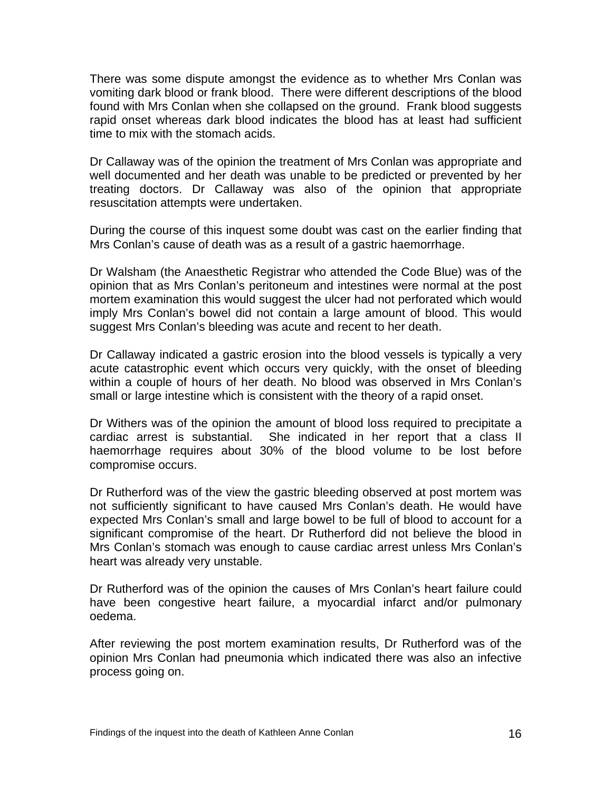There was some dispute amongst the evidence as to whether Mrs Conlan was vomiting dark blood or frank blood. There were different descriptions of the blood found with Mrs Conlan when she collapsed on the ground. Frank blood suggests rapid onset whereas dark blood indicates the blood has at least had sufficient time to mix with the stomach acids.

Dr Callaway was of the opinion the treatment of Mrs Conlan was appropriate and well documented and her death was unable to be predicted or prevented by her treating doctors. Dr Callaway was also of the opinion that appropriate resuscitation attempts were undertaken.

During the course of this inquest some doubt was cast on the earlier finding that Mrs Conlan's cause of death was as a result of a gastric haemorrhage.

Dr Walsham (the Anaesthetic Registrar who attended the Code Blue) was of the opinion that as Mrs Conlan's peritoneum and intestines were normal at the post mortem examination this would suggest the ulcer had not perforated which would imply Mrs Conlan's bowel did not contain a large amount of blood. This would suggest Mrs Conlan's bleeding was acute and recent to her death.

Dr Callaway indicated a gastric erosion into the blood vessels is typically a very acute catastrophic event which occurs very quickly, with the onset of bleeding within a couple of hours of her death. No blood was observed in Mrs Conlan's small or large intestine which is consistent with the theory of a rapid onset.

Dr Withers was of the opinion the amount of blood loss required to precipitate a cardiac arrest is substantial. She indicated in her report that a class II haemorrhage requires about 30% of the blood volume to be lost before compromise occurs.

Dr Rutherford was of the view the gastric bleeding observed at post mortem was not sufficiently significant to have caused Mrs Conlan's death. He would have expected Mrs Conlan's small and large bowel to be full of blood to account for a significant compromise of the heart. Dr Rutherford did not believe the blood in Mrs Conlan's stomach was enough to cause cardiac arrest unless Mrs Conlan's heart was already very unstable.

Dr Rutherford was of the opinion the causes of Mrs Conlan's heart failure could have been congestive heart failure, a myocardial infarct and/or pulmonary oedema.

After reviewing the post mortem examination results, Dr Rutherford was of the opinion Mrs Conlan had pneumonia which indicated there was also an infective process going on.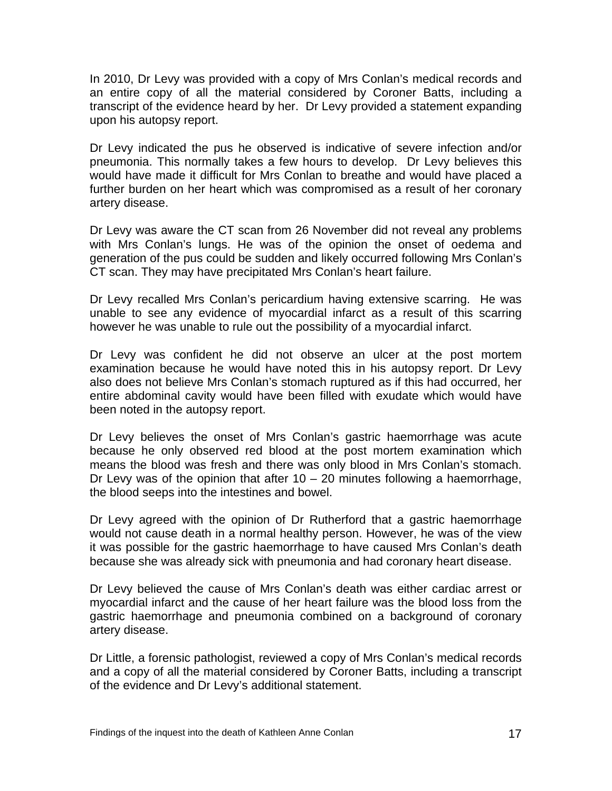In 2010, Dr Levy was provided with a copy of Mrs Conlan's medical records and an entire copy of all the material considered by Coroner Batts, including a transcript of the evidence heard by her. Dr Levy provided a statement expanding upon his autopsy report.

Dr Levy indicated the pus he observed is indicative of severe infection and/or pneumonia. This normally takes a few hours to develop. Dr Levy believes this would have made it difficult for Mrs Conlan to breathe and would have placed a further burden on her heart which was compromised as a result of her coronary artery disease.

Dr Levy was aware the CT scan from 26 November did not reveal any problems with Mrs Conlan's lungs. He was of the opinion the onset of oedema and generation of the pus could be sudden and likely occurred following Mrs Conlan's CT scan. They may have precipitated Mrs Conlan's heart failure.

Dr Levy recalled Mrs Conlan's pericardium having extensive scarring. He was unable to see any evidence of myocardial infarct as a result of this scarring however he was unable to rule out the possibility of a myocardial infarct.

Dr Levy was confident he did not observe an ulcer at the post mortem examination because he would have noted this in his autopsy report. Dr Levy also does not believe Mrs Conlan's stomach ruptured as if this had occurred, her entire abdominal cavity would have been filled with exudate which would have been noted in the autopsy report.

Dr Levy believes the onset of Mrs Conlan's gastric haemorrhage was acute because he only observed red blood at the post mortem examination which means the blood was fresh and there was only blood in Mrs Conlan's stomach. Dr Levy was of the opinion that after  $10 - 20$  minutes following a haemorrhage, the blood seeps into the intestines and bowel.

Dr Levy agreed with the opinion of Dr Rutherford that a gastric haemorrhage would not cause death in a normal healthy person. However, he was of the view it was possible for the gastric haemorrhage to have caused Mrs Conlan's death because she was already sick with pneumonia and had coronary heart disease.

Dr Levy believed the cause of Mrs Conlan's death was either cardiac arrest or myocardial infarct and the cause of her heart failure was the blood loss from the gastric haemorrhage and pneumonia combined on a background of coronary artery disease.

Dr Little, a forensic pathologist, reviewed a copy of Mrs Conlan's medical records and a copy of all the material considered by Coroner Batts, including a transcript of the evidence and Dr Levy's additional statement.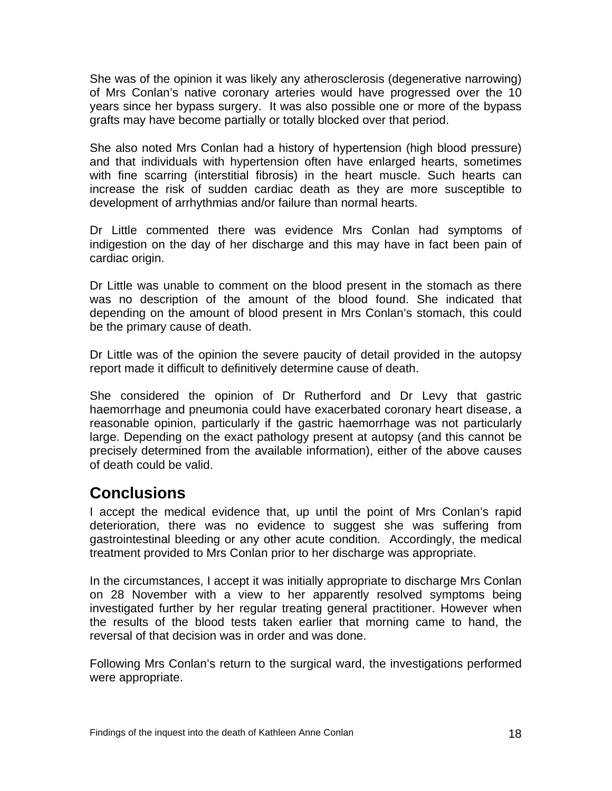<span id="page-19-0"></span>She was of the opinion it was likely any atherosclerosis (degenerative narrowing) of Mrs Conlan's native coronary arteries would have progressed over the 10 years since her bypass surgery. It was also possible one or more of the bypass grafts may have become partially or totally blocked over that period.

She also noted Mrs Conlan had a history of hypertension (high blood pressure) and that individuals with hypertension often have enlarged hearts, sometimes with fine scarring (interstitial fibrosis) in the heart muscle. Such hearts can increase the risk of sudden cardiac death as they are more susceptible to development of arrhythmias and/or failure than normal hearts.

Dr Little commented there was evidence Mrs Conlan had symptoms of indigestion on the day of her discharge and this may have in fact been pain of cardiac origin.

Dr Little was unable to comment on the blood present in the stomach as there was no description of the amount of the blood found. She indicated that depending on the amount of blood present in Mrs Conlan's stomach, this could be the primary cause of death.

Dr Little was of the opinion the severe paucity of detail provided in the autopsy report made it difficult to definitively determine cause of death.

She considered the opinion of Dr Rutherford and Dr Levy that gastric haemorrhage and pneumonia could have exacerbated coronary heart disease, a reasonable opinion, particularly if the gastric haemorrhage was not particularly large. Depending on the exact pathology present at autopsy (and this cannot be precisely determined from the available information), either of the above causes of death could be valid.

## **Conclusions**

I accept the medical evidence that, up until the point of Mrs Conlan's rapid deterioration, there was no evidence to suggest she was suffering from gastrointestinal bleeding or any other acute condition. Accordingly, the medical treatment provided to Mrs Conlan prior to her discharge was appropriate.

In the circumstances, I accept it was initially appropriate to discharge Mrs Conlan on 28 November with a view to her apparently resolved symptoms being investigated further by her regular treating general practitioner. However when the results of the blood tests taken earlier that morning came to hand, the reversal of that decision was in order and was done.

Following Mrs Conlan's return to the surgical ward, the investigations performed were appropriate.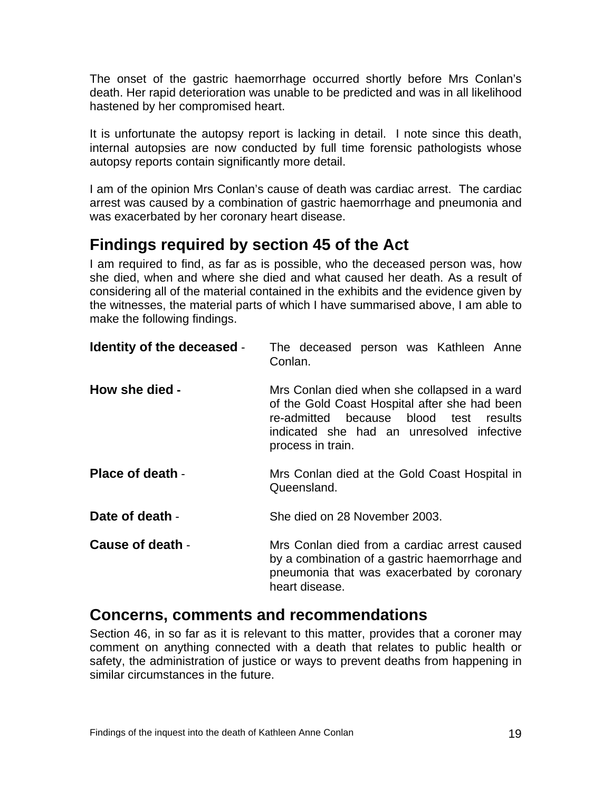<span id="page-20-0"></span>The onset of the gastric haemorrhage occurred shortly before Mrs Conlan's death. Her rapid deterioration was unable to be predicted and was in all likelihood hastened by her compromised heart.

It is unfortunate the autopsy report is lacking in detail. I note since this death, internal autopsies are now conducted by full time forensic pathologists whose autopsy reports contain significantly more detail.

I am of the opinion Mrs Conlan's cause of death was cardiac arrest. The cardiac arrest was caused by a combination of gastric haemorrhage and pneumonia and was exacerbated by her coronary heart disease.

## **Findings required by section 45 of the Act**

I am required to find, as far as is possible, who the deceased person was, how she died, when and where she died and what caused her death. As a result of considering all of the material contained in the exhibits and the evidence given by the witnesses, the material parts of which I have summarised above, I am able to make the following findings.

| <b>Identity of the deceased -</b> | The deceased person was Kathleen Anne<br>Conlan.                                                                                                                                                             |
|-----------------------------------|--------------------------------------------------------------------------------------------------------------------------------------------------------------------------------------------------------------|
| How she died -                    | Mrs Conlan died when she collapsed in a ward<br>of the Gold Coast Hospital after she had been<br>re-admitted because blood test<br>results<br>indicated she had an unresolved infective<br>process in train. |
| Place of death -                  | Mrs Conlan died at the Gold Coast Hospital in<br>Queensland.                                                                                                                                                 |
| Date of death -                   | She died on 28 November 2003.                                                                                                                                                                                |
| Cause of death -                  | Mrs Conlan died from a cardiac arrest caused<br>by a combination of a gastric haemorrhage and<br>pneumonia that was exacerbated by coronary<br>heart disease.                                                |

### **Concerns, comments and recommendations**

Section 46, in so far as it is relevant to this matter, provides that a coroner may comment on anything connected with a death that relates to public health or safety, the administration of justice or ways to prevent deaths from happening in similar circumstances in the future.